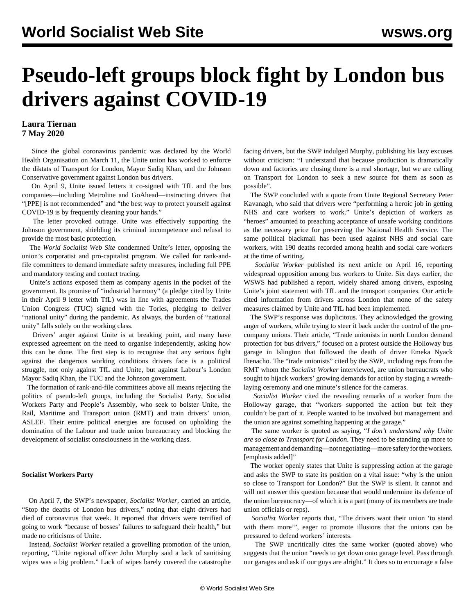# <span id="page-0-0"></span>**Pseudo-left groups block fight by London bus drivers against COVID-19**

### **Laura Tiernan 7 May 2020**

 Since the global coronavirus pandemic was declared by the World Health Organisation on March 11, the Unite union has worked to enforce the diktats of Transport for London, Mayor Sadiq Khan, and the Johnson Conservative government against London bus drivers.

 On April 9, Unite issued letters it co-signed with TfL and the bus companies—including Metroline and GoAhead—instructing drivers that "[PPE] is not recommended" and "the best way to protect yourself against COVID-19 is by frequently cleaning your hands."

 The letter provoked outrage. Unite was effectively supporting the Johnson government, shielding its criminal incompetence and refusal to provide the most basic protection.

 The *World Socialist Web Site* condemned Unite's letter, opposing the union's corporatist and pro-capitalist program. We called for rank-andfile committees to demand immediate safety measures, including full PPE and mandatory testing and contact tracing.

 Unite's actions exposed them as company agents in the pocket of the government. Its promise of "industrial harmony" (a pledge cited by Unite in their April 9 letter with TfL) was in line with agreements the Trades Union Congress (TUC) signed with the Tories, pledging to deliver "national unity" during the pandemic. As always, the burden of "national unity" falls solely on the working class.

 Drivers' anger against Unite is at breaking point, and many have expressed agreement on the need to organise independently, asking how this can be done. The first step is to recognise that any serious fight against the dangerous working conditions drivers face is a political struggle, not only against TfL and Unite, but against Labour's London Mayor Sadiq Khan, the TUC and the Johnson government.

 The formation of rank-and-file committees above all means rejecting the politics of pseudo-left groups, including the Socialist Party, Socialist Workers Party and People's Assembly, who seek to bolster Unite, the Rail, Maritime and Transport union (RMT) and train drivers' union, ASLEF. Their entire political energies are focused on upholding the domination of the Labour and trade union bureaucracy and blocking the development of socialist consciousness in the working class.

#### **Socialist Workers Party**

 On April 7, the SWP's newspaper, *Socialist Worker*, carried an article, "Stop the deaths of London bus drivers," noting that eight drivers had died of coronavirus that week. It reported that drivers were terrified of going to work "because of bosses' failures to safeguard their health," but made no criticisms of Unite.

 Instead, *Socialist Worker* retailed a grovelling promotion of the union, reporting, "Unite regional officer John Murphy said a lack of sanitising wipes was a big problem." Lack of wipes barely covered the catastrophe

facing drivers, but the SWP indulged Murphy, publishing his lazy excuses without criticism: "I understand that because production is dramatically down and factories are closing there is a real shortage, but we are calling on Transport for London to seek a new source for them as soon as possible".

 The SWP concluded with a quote from Unite Regional Secretary Peter Kavanagh, who said that drivers were "performing a heroic job in getting NHS and care workers to work." Unite's depiction of workers as "heroes" amounted to preaching acceptance of unsafe working conditions as the necessary price for preserving the National Health Service. The same political blackmail has been used against NHS and social care workers, with 190 deaths recorded among health and social care workers at the time of writing.

 *Socialist Worker* published its next article on April 16, reporting widespread opposition among bus workers to Unite. Six days earlier, the WSWS had published a [report](/en/articles/2020/04/10/lond-a10.html), widely shared among drivers, exposing Unite's joint statement with TfL and the transport companies. Our article cited information from drivers across London that none of the safety measures claimed by Unite and TfL had been implemented.

 The SWP's response was duplicitous. They acknowledged the growing anger of workers, while trying to steer it back under the control of the procompany unions. Their article, "Trade unionists in north London demand protection for bus drivers," focused on a protest outside the Holloway bus garage in Islington that followed the death of driver Emeka Nyack Ihenacho. The "trade unionists" cited by the SWP, including reps from the RMT whom the *Socialist Worker* interviewed, are union bureaucrats who sought to hijack workers' growing demands for action by staging a wreathlaying ceremony and one minute's silence for the cameras.

 *Socialist Worker* cited the revealing remarks of a worker from the Holloway garage, that "workers supported the action but felt they couldn't be part of it. People wanted to be involved but management and the union are against something happening at the garage."

 The same worker is quoted as saying, "*I don't understand why Unite are so close to Transport for London*. They need to be standing up more to management and demanding—not negotiating—more safety for the workers. [emphasis added]"

 The worker openly states that Unite is suppressing action at the garage and asks the SWP to state its position on a vital issue: "why is the union so close to Transport for London?" But the SWP is silent. It cannot and will not answer this question because that would undermine its defence of the union bureaucracy—of which it is a part (many of its members are trade union officials or reps).

 *Socialist Worker* reports that, "The drivers want their union 'to stand with them more'", eager to promote illusions that the unions can be pressured to defend workers' interests.

 The SWP uncritically cites the same worker (quoted above) who suggests that the union "needs to get down onto garage level. Pass through our garages and ask if our guys are alright." It does so to encourage a false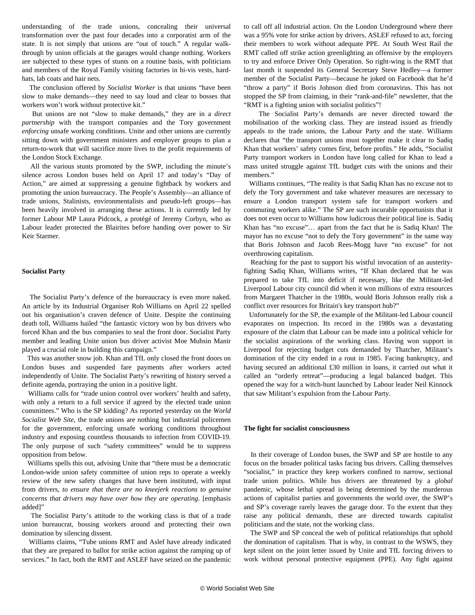understanding of the trade unions, concealing their universal transformation over the past four decades into a corporatist arm of the state. It is not simply that unions are "out of touch." A regular walkthrough by union officials at the garages would change nothing. Workers are subjected to these types of stunts on a routine basis, with politicians and members of the Royal Family visiting factories in hi-vis vests, hardhats, lab coats and hair nets.

 The conclusion offered by *Socialist Worker* is that unions "have been slow to make demands—they need to say loud and clear to bosses that workers won't work without protective kit."

 But unions are not "slow to make demands," they are in a *direct partnership* with the transport companies and the Tory government *enforcing* unsafe working conditions. Unite and other unions are currently sitting down with government ministers and employer groups to plan a return-to-work that will sacrifice more lives to the profit requirements of the London Stock Exchange.

 All the various stunts promoted by the SWP, including the minute's silence across London buses held on April 17 and today's "Day of Action," are aimed at suppressing a genuine fightback by workers and promoting the union bureaucracy. The People's Assembly—an alliance of trade unions, Stalinists, environmentalists and pseudo-left groups—has been heavily involved in arranging these actions. It is currently led by former Labour MP Laura Pidcock, a protégé of Jeremy Corbyn, who as Labour leader protected the Blairites before handing over power to Sir Keir Starmer.

#### **Socialist Party**

 The Socialist Party's defence of the bureaucracy is even more naked. An article by its Industrial Organiser Rob Williams on April 22 spelled out his organisation's craven defence of Unite. Despite the continuing death toll, Williams hailed "the fantastic victory won by bus drivers who forced Khan and the bus companies to seal the front door. Socialist Party member and leading Unite union bus driver activist Moe Muhsin Manir played a crucial role in building this campaign."

 This was another snow job. Khan and TfL only closed the front doors on London buses and suspended fare payments after workers acted independently of Unite. The Socialist Party's rewriting of history served a definite agenda, portraying the union in a positive light.

 Williams calls for "trade union control over workers' health and safety, with only a return to a full service if agreed by the elected trade union committees." Who is the SP kidding? As reported [yesterday](/en/articles/2020/05/06/ukun-m06.html) on the *World Socialist Web Site*, the trade unions are nothing but industrial policemen for the government, enforcing unsafe working conditions throughout industry and exposing countless thousands to infection from COVID-19. The only purpose of such "safety committees" would be to suppress opposition from below.

 Williams spells this out, advising Unite that "there must be a democratic London-wide union safety committee of union reps to operate a weekly review of the new safety changes that have been instituted, with input from drivers, *to ensure that there are no kneejerk reactions to genuine concerns that drivers may have over how they are operating*. [emphasis added]"

 The Socialist Party's attitude to the working class is that of a trade union bureaucrat, bossing workers around and protecting their own domination by silencing dissent.

 Williams claims, "Tube unions RMT and Aslef have already indicated that they are prepared to ballot for strike action against the ramping up of services." In fact, both the RMT and ASLEF have seized on the pandemic to call off all industrial action. On the London Underground where there was a 95% vote for strike action by drivers, ASLEF refused to act, forcing their members to work without adequate PPE. At South West Rail the RMT called off strike action greenlighting an offensive by the employers to try and enforce Driver Only Operation. So right-wing is the RMT that last month it suspended its General Secretary Steve Hedley—a former member of the Socialist Party—because he joked on Facebook that he'd "throw a party" if Boris Johnson died from coronavirus. This has not stopped the SP from claiming, in their "rank-and-file" newsletter, that the "RMT is a fighting union with socialist politics"!

 The Socialist Party's demands are never directed toward the mobilisation of the working class. They are instead issued as friendly appeals to the trade unions, the Labour Party and the state. Williams declares that "the transport unions must together make it clear to Sadiq Khan that workers' safety comes first, before profits." He adds, "Socialist Party transport workers in London have long called for Khan to lead a mass united struggle against TfL budget cuts with the unions and their members."

 Williams continues, "The reality is that Sadiq Khan has no excuse not to defy the Tory government and take whatever measures are necessary to ensure a London transport system safe for transport workers and commuting workers alike." The SP are such incurable opportunists that it does not even occur to Williams how ludicrous their political line is. Sadiq Khan has "no excuse"… apart from the fact that he is Sadiq Khan! The mayor has no excuse "not to defy the Tory government" in the same way that Boris Johnson and Jacob Rees-Mogg have "no excuse" for not overthrowing capitalism.

 Reaching for the past to support his wistful invocation of an austerityfighting Sadiq Khan, Williams writes, "If Khan declared that he was prepared to take TfL into deficit if necessary, like the Militant-led Liverpool Labour city council did when it won millions of extra resources from Margaret Thatcher in the 1980s, would Boris Johnson really risk a conflict over resources for Britain's key transport hub?"

 Unfortunately for the SP, the example of the Militant-led Labour council evaporates on inspection. Its record in the 1980s was a devastating exposure of the claim that Labour can be made into a political vehicle for the socialist aspirations of the working class. Having won support in Liverpool for rejecting budget cuts demanded by Thatcher, Militant's domination of the city ended in a rout in 1985. Facing bankruptcy, and having secured an additional £30 million in loans, it carried out what it called an "orderly retreat"—producing a legal balanced budget. This opened the way for a witch-hunt launched by Labour leader Neil Kinnock that saw Militant's expulsion from the Labour Party.

#### **The fight for socialist consciousness**

 In their coverage of London buses, the SWP and SP are hostile to any focus on the broader political tasks facing bus drivers. Calling themselves "socialist," in practice they keep workers confined to narrow, sectional trade union politics. While bus drivers are threatened by a *global* pandemic, whose lethal spread is being determined by the murderous actions of capitalist parties and governments the world over, the SWP's and SP's coverage rarely leaves the garage door. To the extent that they raise any political demands, these are directed towards capitalist politicians and the state, not the working class.

 The SWP and SP conceal the web of political relationships that uphold the domination of capitalism. That is why, in contrast to the WSWS, they kept silent on the joint letter issued by Unite and TfL forcing drivers to work without personal protective equipment (PPE). Any fight against